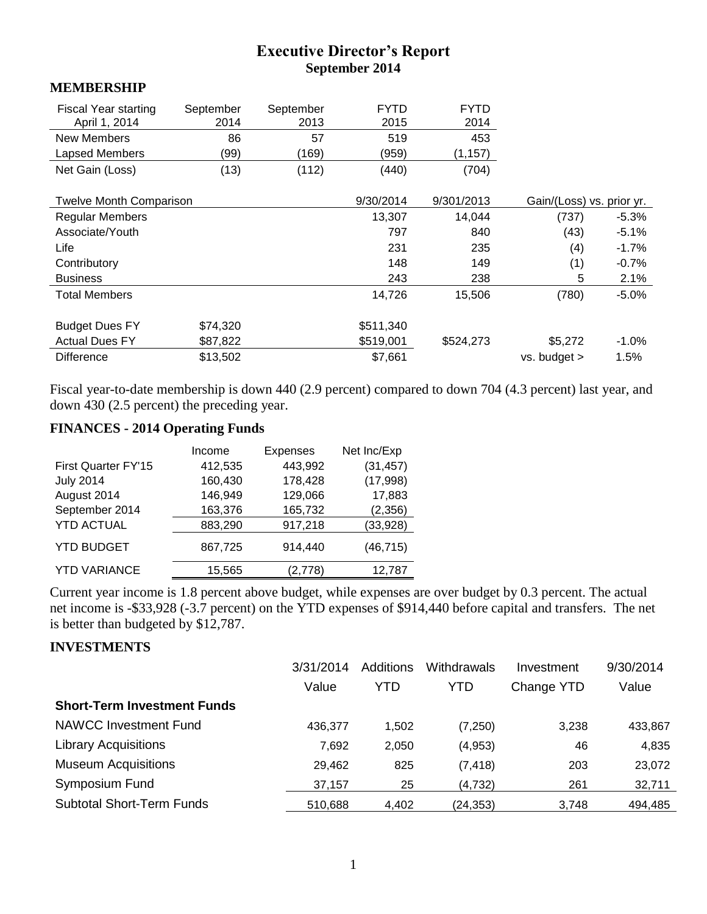## **Executive Director's Report September 2014**

#### **MEMBERSHIP**

| Fiscal Year starting<br>April 1, 2014 | September<br>2014 | September<br>2013 | <b>FYTD</b><br>2015 | <b>FYTD</b><br>2014 |                           |         |
|---------------------------------------|-------------------|-------------------|---------------------|---------------------|---------------------------|---------|
| <b>New Members</b>                    | 86                | 57                | 519                 | 453                 |                           |         |
| Lapsed Members                        | (99)              | (169)             | (959)               | (1, 157)            |                           |         |
| Net Gain (Loss)                       | (13)              | (112)             | (440)               | (704)               |                           |         |
|                                       |                   |                   |                     |                     |                           |         |
| Twelve Month Comparison               |                   |                   | 9/30/2014           | 9/301/2013          | Gain/(Loss) vs. prior yr. |         |
| <b>Regular Members</b>                |                   |                   | 13,307              | 14,044              | (737)                     | $-5.3%$ |
| Associate/Youth                       |                   |                   | 797                 | 840                 | (43)                      | $-5.1%$ |
| Life                                  |                   |                   | 231                 | 235                 | (4)                       | $-1.7%$ |
| Contributory                          |                   |                   | 148                 | 149                 | (1)                       | $-0.7%$ |
| <b>Business</b>                       |                   |                   | 243                 | 238                 | 5                         | 2.1%    |
| <b>Total Members</b>                  |                   |                   | 14,726              | 15,506              | (780)                     | $-5.0%$ |
|                                       |                   |                   |                     |                     |                           |         |
| <b>Budget Dues FY</b>                 | \$74,320          |                   | \$511,340           |                     |                           |         |
| <b>Actual Dues FY</b>                 | \$87,822          |                   | \$519,001           | \$524,273           | \$5,272                   | $-1.0%$ |
| <b>Difference</b>                     | \$13,502          |                   | \$7,661             |                     | vs. budget >              | 1.5%    |

Fiscal year-to-date membership is down 440 (2.9 percent) compared to down 704 (4.3 percent) last year, and down 430 (2.5 percent) the preceding year.

## **FINANCES - 2014 Operating Funds**

|                     | Income  | <b>Expenses</b> | Net Inc/Exp |
|---------------------|---------|-----------------|-------------|
| First Quarter FY'15 | 412,535 | 443,992         | (31, 457)   |
| <b>July 2014</b>    | 160,430 | 178,428         | (17,998)    |
| August 2014         | 146,949 | 129,066         | 17,883      |
| September 2014      | 163,376 | 165,732         | (2,356)     |
| <b>YTD ACTUAL</b>   | 883,290 | 917,218         | (33, 928)   |
| <b>YTD BUDGET</b>   | 867,725 | 914,440         | (46, 715)   |
| <b>YTD VARIANCE</b> | 15,565  | '2,778)         | 12,787      |

Current year income is 1.8 percent above budget, while expenses are over budget by 0.3 percent. The actual net income is -\$33,928 (-3.7 percent) on the YTD expenses of \$914,440 before capital and transfers. The net is better than budgeted by \$12,787.

### **INVESTMENTS**

|                                    | 3/31/2014 | Additions | Withdrawals | Investment | 9/30/2014 |
|------------------------------------|-----------|-----------|-------------|------------|-----------|
|                                    | Value     | YTD       | YTD         | Change YTD | Value     |
| <b>Short-Term Investment Funds</b> |           |           |             |            |           |
| <b>NAWCC Investment Fund</b>       | 436.377   | 1,502     | (7,250)     | 3,238      | 433,867   |
| <b>Library Acquisitions</b>        | 7,692     | 2,050     | (4,953)     | 46         | 4,835     |
| <b>Museum Acquisitions</b>         | 29,462    | 825       | (7, 418)    | 203        | 23,072    |
| Symposium Fund                     | 37,157    | 25        | (4,732)     | 261        | 32,711    |
| <b>Subtotal Short-Term Funds</b>   | 510,688   | 4,402     | (24,353)    | 3,748      | 494,485   |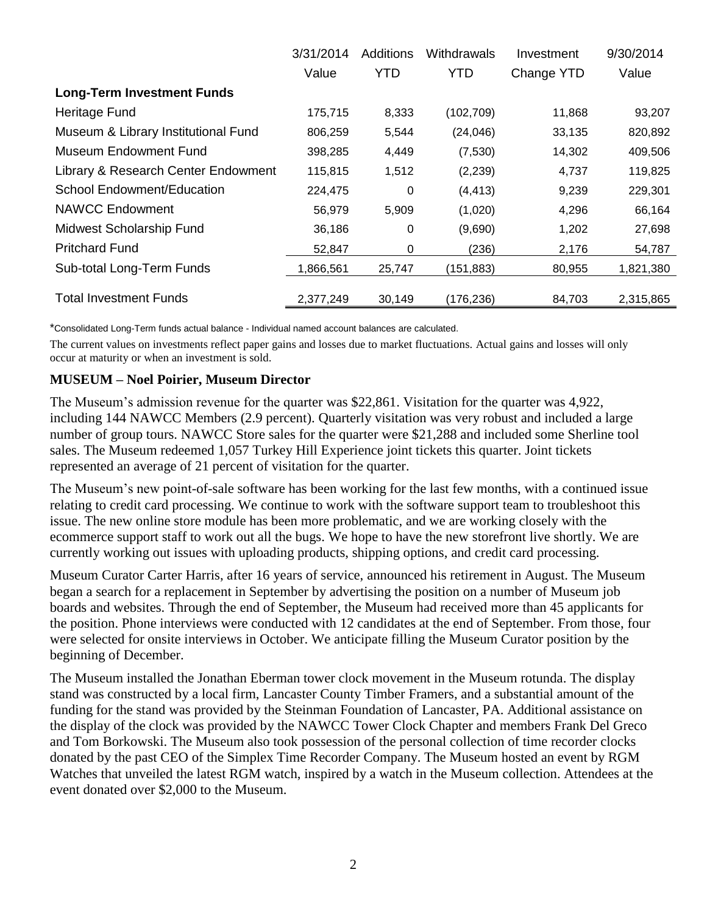|                                     | 3/31/2014 | Additions  | Withdrawals | Investment | 9/30/2014 |
|-------------------------------------|-----------|------------|-------------|------------|-----------|
|                                     | Value     | <b>YTD</b> | <b>YTD</b>  | Change YTD | Value     |
| <b>Long-Term Investment Funds</b>   |           |            |             |            |           |
| Heritage Fund                       | 175,715   | 8,333      | (102, 709)  | 11,868     | 93,207    |
| Museum & Library Institutional Fund | 806,259   | 5,544      | (24, 046)   | 33,135     | 820,892   |
| Museum Endowment Fund               | 398,285   | 4,449      | (7,530)     | 14,302     | 409,506   |
| Library & Research Center Endowment | 115,815   | 1,512      | (2, 239)    | 4,737      | 119,825   |
| School Endowment/Education          | 224,475   | $\Omega$   | (4, 413)    | 9,239      | 229,301   |
| <b>NAWCC Endowment</b>              | 56,979    | 5,909      | (1,020)     | 4,296      | 66,164    |
| Midwest Scholarship Fund            | 36,186    | $\Omega$   | (9,690)     | 1,202      | 27,698    |
| <b>Pritchard Fund</b>               | 52,847    | 0          | (236)       | 2,176      | 54,787    |
| Sub-total Long-Term Funds           | 1,866,561 | 25,747     | (151, 883)  | 80,955     | 1,821,380 |
| <b>Total Investment Funds</b>       | 2,377,249 | 30,149     | (176, 236)  | 84,703     | 2,315,865 |

\*Consolidated Long-Term funds actual balance - Individual named account balances are calculated.

The current values on investments reflect paper gains and losses due to market fluctuations. Actual gains and losses will only occur at maturity or when an investment is sold.

#### **MUSEUM – Noel Poirier, Museum Director**

The Museum's admission revenue for the quarter was \$22,861. Visitation for the quarter was 4,922, including 144 NAWCC Members (2.9 percent). Quarterly visitation was very robust and included a large number of group tours. NAWCC Store sales for the quarter were \$21,288 and included some Sherline tool sales. The Museum redeemed 1,057 Turkey Hill Experience joint tickets this quarter. Joint tickets represented an average of 21 percent of visitation for the quarter.

The Museum's new point-of-sale software has been working for the last few months, with a continued issue relating to credit card processing. We continue to work with the software support team to troubleshoot this issue. The new online store module has been more problematic, and we are working closely with the ecommerce support staff to work out all the bugs. We hope to have the new storefront live shortly. We are currently working out issues with uploading products, shipping options, and credit card processing.

Museum Curator Carter Harris, after 16 years of service, announced his retirement in August. The Museum began a search for a replacement in September by advertising the position on a number of Museum job boards and websites. Through the end of September, the Museum had received more than 45 applicants for the position. Phone interviews were conducted with 12 candidates at the end of September. From those, four were selected for onsite interviews in October. We anticipate filling the Museum Curator position by the beginning of December.

The Museum installed the Jonathan Eberman tower clock movement in the Museum rotunda. The display stand was constructed by a local firm, Lancaster County Timber Framers, and a substantial amount of the funding for the stand was provided by the Steinman Foundation of Lancaster, PA. Additional assistance on the display of the clock was provided by the NAWCC Tower Clock Chapter and members Frank Del Greco and Tom Borkowski. The Museum also took possession of the personal collection of time recorder clocks donated by the past CEO of the Simplex Time Recorder Company. The Museum hosted an event by RGM Watches that unveiled the latest RGM watch, inspired by a watch in the Museum collection. Attendees at the event donated over \$2,000 to the Museum.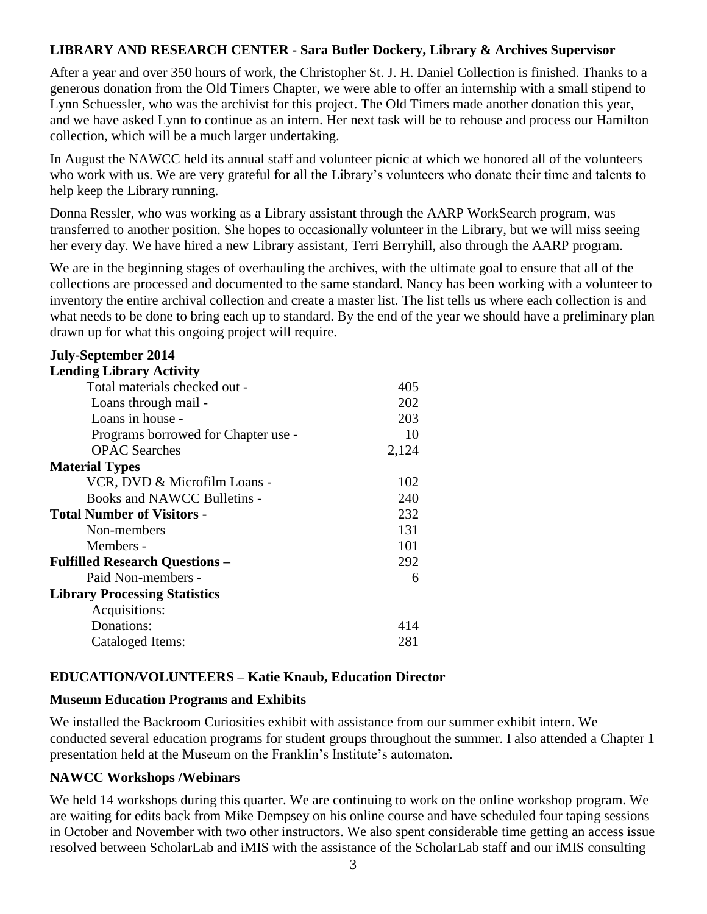### **LIBRARY AND RESEARCH CENTER - Sara Butler Dockery, Library & Archives Supervisor**

After a year and over 350 hours of work, the Christopher St. J. H. Daniel Collection is finished. Thanks to a generous donation from the Old Timers Chapter, we were able to offer an internship with a small stipend to Lynn Schuessler, who was the archivist for this project. The Old Timers made another donation this year, and we have asked Lynn to continue as an intern. Her next task will be to rehouse and process our Hamilton collection, which will be a much larger undertaking.

In August the NAWCC held its annual staff and volunteer picnic at which we honored all of the volunteers who work with us. We are very grateful for all the Library's volunteers who donate their time and talents to help keep the Library running.

Donna Ressler, who was working as a Library assistant through the AARP WorkSearch program, was transferred to another position. She hopes to occasionally volunteer in the Library, but we will miss seeing her every day. We have hired a new Library assistant, Terri Berryhill, also through the AARP program.

We are in the beginning stages of overhauling the archives, with the ultimate goal to ensure that all of the collections are processed and documented to the same standard. Nancy has been working with a volunteer to inventory the entire archival collection and create a master list. The list tells us where each collection is and what needs to be done to bring each up to standard. By the end of the year we should have a preliminary plan drawn up for what this ongoing project will require.

| <b>July-September 2014</b>            |       |
|---------------------------------------|-------|
| <b>Lending Library Activity</b>       |       |
| Total materials checked out -         | 405   |
| Loans through mail -                  | 202   |
| Loans in house -                      | 203   |
| Programs borrowed for Chapter use -   | 10    |
| <b>OPAC</b> Searches                  | 2,124 |
| <b>Material Types</b>                 |       |
| VCR, DVD & Microfilm Loans -          | 102   |
| Books and NAWCC Bulletins -           | 240   |
| <b>Total Number of Visitors -</b>     | 232   |
| Non-members                           | 131   |
| Members -                             | 101   |
| <b>Fulfilled Research Questions -</b> | 292   |
| Paid Non-members -                    | 6     |
| <b>Library Processing Statistics</b>  |       |
| Acquisitions:                         |       |
| Donations:                            | 414   |
| Cataloged Items:                      | 281   |

#### **EDUCATION/VOLUNTEERS – Katie Knaub, Education Director**

#### **Museum Education Programs and Exhibits**

We installed the Backroom Curiosities exhibit with assistance from our summer exhibit intern. We conducted several education programs for student groups throughout the summer. I also attended a Chapter 1 presentation held at the Museum on the Franklin's Institute's automaton.

#### **NAWCC Workshops /Webinars**

We held 14 workshops during this quarter. We are continuing to work on the online workshop program. We are waiting for edits back from Mike Dempsey on his online course and have scheduled four taping sessions in October and November with two other instructors. We also spent considerable time getting an access issue resolved between ScholarLab and iMIS with the assistance of the ScholarLab staff and our iMIS consulting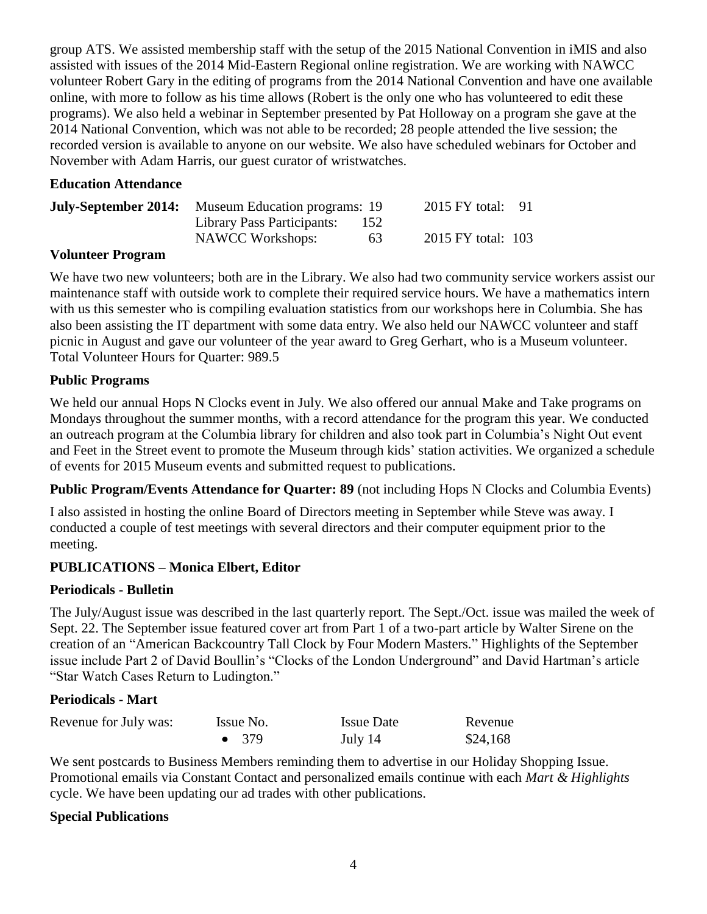group ATS. We assisted membership staff with the setup of the 2015 National Convention in iMIS and also assisted with issues of the 2014 Mid-Eastern Regional online registration. We are working with NAWCC volunteer Robert Gary in the editing of programs from the 2014 National Convention and have one available online, with more to follow as his time allows (Robert is the only one who has volunteered to edit these programs). We also held a webinar in September presented by Pat Holloway on a program she gave at the 2014 National Convention, which was not able to be recorded; 28 people attended the live session; the recorded version is available to anyone on our website. We also have scheduled webinars for October and November with Adam Harris, our guest curator of wristwatches.

#### **Education Attendance**

| <b>July-September 2014:</b> Museum Education programs: 19 |                            |      | 2015 FY total: $91$ |  |
|-----------------------------------------------------------|----------------------------|------|---------------------|--|
|                                                           | Library Pass Participants: | -152 |                     |  |
|                                                           | <b>NAWCC Workshops:</b>    | 63   | 2015 FY total: 103  |  |

### **Volunteer Program**

We have two new volunteers; both are in the Library. We also had two community service workers assist our maintenance staff with outside work to complete their required service hours. We have a mathematics intern with us this semester who is compiling evaluation statistics from our workshops here in Columbia. She has also been assisting the IT department with some data entry. We also held our NAWCC volunteer and staff picnic in August and gave our volunteer of the year award to Greg Gerhart, who is a Museum volunteer. Total Volunteer Hours for Quarter: 989.5

### **Public Programs**

We held our annual Hops N Clocks event in July. We also offered our annual Make and Take programs on Mondays throughout the summer months, with a record attendance for the program this year. We conducted an outreach program at the Columbia library for children and also took part in Columbia's Night Out event and Feet in the Street event to promote the Museum through kids' station activities. We organized a schedule of events for 2015 Museum events and submitted request to publications.

**Public Program/Events Attendance for Quarter: 89** (not including Hops N Clocks and Columbia Events)

I also assisted in hosting the online Board of Directors meeting in September while Steve was away. I conducted a couple of test meetings with several directors and their computer equipment prior to the meeting.

### **PUBLICATIONS – Monica Elbert, Editor**

#### **Periodicals - Bulletin**

The July/August issue was described in the last quarterly report. The Sept./Oct. issue was mailed the week of Sept. 22. The September issue featured cover art from Part 1 of a two-part article by Walter Sirene on the creation of an "American Backcountry Tall Clock by Four Modern Masters." Highlights of the September issue include Part 2 of David Boullin's "Clocks of the London Underground" and David Hartman's article "Star Watch Cases Return to Ludington."

#### **Periodicals - Mart**

| Revenue for July was: | Issue No.     | <b>Issue Date</b> | Revenue  |
|-----------------------|---------------|-------------------|----------|
|                       | $\bullet$ 379 | July 14           | \$24,168 |

We sent postcards to Business Members reminding them to advertise in our Holiday Shopping Issue. Promotional emails via Constant Contact and personalized emails continue with each *Mart & Highlights* cycle. We have been updating our ad trades with other publications.

#### **Special Publications**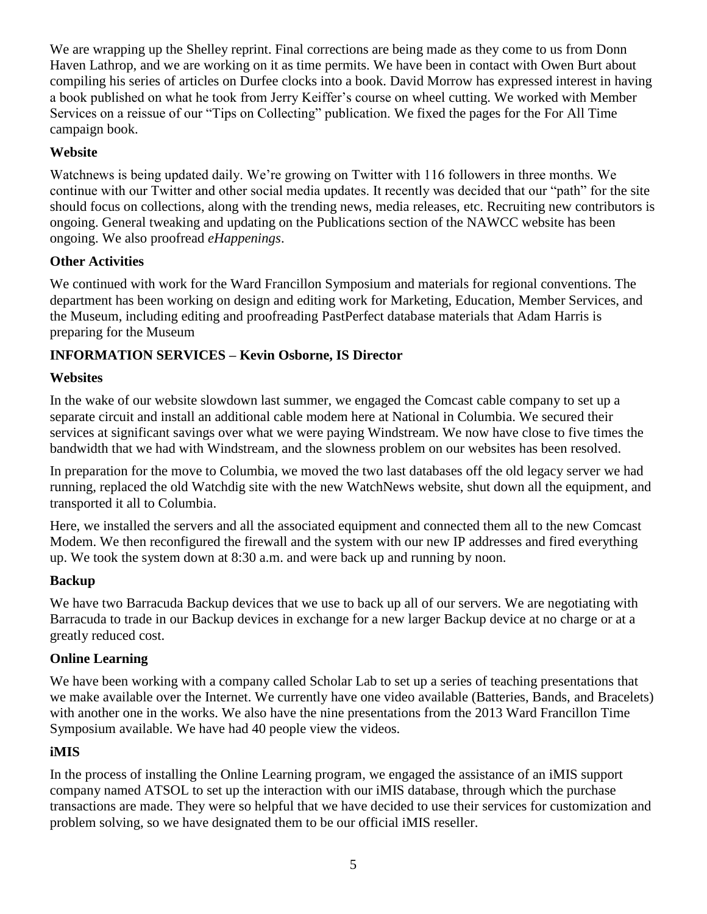We are wrapping up the Shelley reprint. Final corrections are being made as they come to us from Donn Haven Lathrop, and we are working on it as time permits. We have been in contact with Owen Burt about compiling his series of articles on Durfee clocks into a book. David Morrow has expressed interest in having a book published on what he took from Jerry Keiffer's course on wheel cutting. We worked with Member Services on a reissue of our "Tips on Collecting" publication. We fixed the pages for the For All Time campaign book.

## **Website**

Watchnews is being updated daily. We're growing on Twitter with 116 followers in three months. We continue with our Twitter and other social media updates. It recently was decided that our "path" for the site should focus on collections, along with the trending news, media releases, etc. Recruiting new contributors is ongoing. General tweaking and updating on the Publications section of the NAWCC website has been ongoing. We also proofread *eHappenings*.

### **Other Activities**

We continued with work for the Ward Francillon Symposium and materials for regional conventions. The department has been working on design and editing work for Marketing, Education, Member Services, and the Museum, including editing and proofreading PastPerfect database materials that Adam Harris is preparing for the Museum

# **INFORMATION SERVICES – Kevin Osborne, IS Director**

## **Websites**

In the wake of our website slowdown last summer, we engaged the Comcast cable company to set up a separate circuit and install an additional cable modem here at National in Columbia. We secured their services at significant savings over what we were paying Windstream. We now have close to five times the bandwidth that we had with Windstream, and the slowness problem on our websites has been resolved.

In preparation for the move to Columbia, we moved the two last databases off the old legacy server we had running, replaced the old Watchdig site with the new WatchNews website, shut down all the equipment, and transported it all to Columbia.

Here, we installed the servers and all the associated equipment and connected them all to the new Comcast Modem. We then reconfigured the firewall and the system with our new IP addresses and fired everything up. We took the system down at 8:30 a.m. and were back up and running by noon.

# **Backup**

We have two Barracuda Backup devices that we use to back up all of our servers. We are negotiating with Barracuda to trade in our Backup devices in exchange for a new larger Backup device at no charge or at a greatly reduced cost.

### **Online Learning**

We have been working with a company called Scholar Lab to set up a series of teaching presentations that we make available over the Internet. We currently have one video available (Batteries, Bands, and Bracelets) with another one in the works. We also have the nine presentations from the 2013 Ward Francillon Time Symposium available. We have had 40 people view the videos.

# **iMIS**

In the process of installing the Online Learning program, we engaged the assistance of an iMIS support company named ATSOL to set up the interaction with our iMIS database, through which the purchase transactions are made. They were so helpful that we have decided to use their services for customization and problem solving, so we have designated them to be our official iMIS reseller.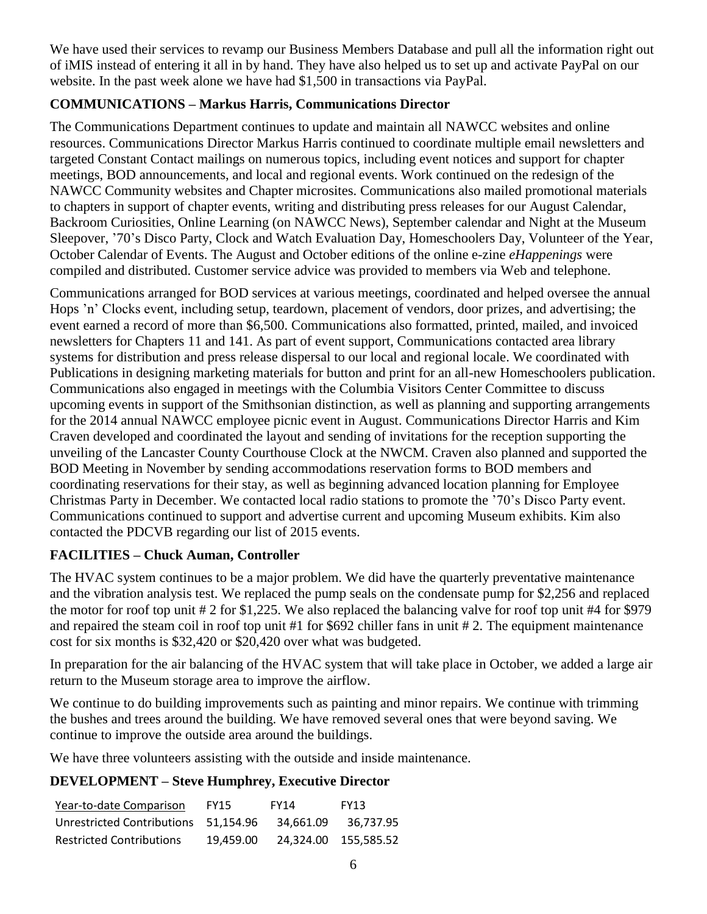We have used their services to revamp our Business Members Database and pull all the information right out of iMIS instead of entering it all in by hand. They have also helped us to set up and activate PayPal on our website. In the past week alone we have had \$1,500 in transactions via PayPal.

### **COMMUNICATIONS – Markus Harris, Communications Director**

The Communications Department continues to update and maintain all NAWCC websites and online resources. Communications Director Markus Harris continued to coordinate multiple email newsletters and targeted Constant Contact mailings on numerous topics, including event notices and support for chapter meetings, BOD announcements, and local and regional events. Work continued on the redesign of the NAWCC Community websites and Chapter microsites. Communications also mailed promotional materials to chapters in support of chapter events, writing and distributing press releases for our August Calendar, Backroom Curiosities, Online Learning (on NAWCC News), September calendar and Night at the Museum Sleepover, '70's Disco Party, Clock and Watch Evaluation Day, Homeschoolers Day, Volunteer of the Year, October Calendar of Events. The August and October editions of the online e-zine *eHappenings* were compiled and distributed. Customer service advice was provided to members via Web and telephone.

Communications arranged for BOD services at various meetings, coordinated and helped oversee the annual Hops 'n' Clocks event, including setup, teardown, placement of vendors, door prizes, and advertising; the event earned a record of more than \$6,500. Communications also formatted, printed, mailed, and invoiced newsletters for Chapters 11 and 141. As part of event support, Communications contacted area library systems for distribution and press release dispersal to our local and regional locale. We coordinated with Publications in designing marketing materials for button and print for an all-new Homeschoolers publication. Communications also engaged in meetings with the Columbia Visitors Center Committee to discuss upcoming events in support of the Smithsonian distinction, as well as planning and supporting arrangements for the 2014 annual NAWCC employee picnic event in August. Communications Director Harris and Kim Craven developed and coordinated the layout and sending of invitations for the reception supporting the unveiling of the Lancaster County Courthouse Clock at the NWCM. Craven also planned and supported the BOD Meeting in November by sending accommodations reservation forms to BOD members and coordinating reservations for their stay, as well as beginning advanced location planning for Employee Christmas Party in December. We contacted local radio stations to promote the '70's Disco Party event. Communications continued to support and advertise current and upcoming Museum exhibits. Kim also contacted the PDCVB regarding our list of 2015 events.

# **FACILITIES – Chuck Auman, Controller**

The HVAC system continues to be a major problem. We did have the quarterly preventative maintenance and the vibration analysis test. We replaced the pump seals on the condensate pump for \$2,256 and replaced the motor for roof top unit # 2 for \$1,225. We also replaced the balancing valve for roof top unit #4 for \$979 and repaired the steam coil in roof top unit #1 for \$692 chiller fans in unit # 2. The equipment maintenance cost for six months is \$32,420 or \$20,420 over what was budgeted.

In preparation for the air balancing of the HVAC system that will take place in October, we added a large air return to the Museum storage area to improve the airflow.

We continue to do building improvements such as painting and minor repairs. We continue with trimming the bushes and trees around the building. We have removed several ones that were beyond saving. We continue to improve the outside area around the buildings.

We have three volunteers assisting with the outside and inside maintenance.

# **DEVELOPMENT – Steve Humphrey, Executive Director**

| Year-to-date Comparison              | <b>FY15</b> | <b>FY14</b> | <b>FY13</b>          |
|--------------------------------------|-------------|-------------|----------------------|
| Unrestricted Contributions 51.154.96 |             | 34.661.09   | 36.737.95            |
| <b>Restricted Contributions</b>      | 19.459.00   |             | 24.324.00 155.585.52 |